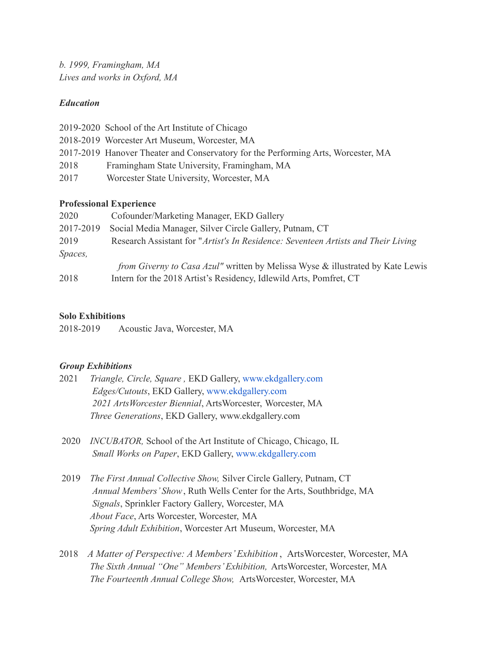*b. 1999, Framingham, MA Lives and works in Oxford, MA*

## *Education*

|      | 2019-2020 School of the Art Institute of Chicago                                  |
|------|-----------------------------------------------------------------------------------|
|      | 2018-2019 Worcester Art Museum, Worcester, MA                                     |
|      | 2017-2019 Hanover Theater and Conservatory for the Performing Arts, Worcester, MA |
| 2018 | Framingham State University, Framingham, MA                                       |
| 2017 | Worcester State University, Worcester, MA                                         |

## **Professional Experience**

| 2020      | Cofounder/Marketing Manager, EKD Gallery                                              |
|-----------|---------------------------------------------------------------------------------------|
| 2017-2019 | Social Media Manager, Silver Circle Gallery, Putnam, CT                               |
| 2019      | Research Assistant for "Artist's In Residence: Seventeen Artists and Their Living     |
| Spaces,   |                                                                                       |
|           | <i>from Giverny to Casa Azul"</i> written by Melissa Wyse & illustrated by Kate Lewis |
| 2018      | Intern for the 2018 Artist's Residency, Idlewild Arts, Pomfret, CT                    |

## **Solo Exhibitions**

| 2018-2019 | Acoustic Java, Worcester, MA |
|-----------|------------------------------|
|           |                              |

# *Group Exhibitions*

| 2021 | Triangle, Circle, Square, EKD Gallery, www.ekdgallery.com   |
|------|-------------------------------------------------------------|
|      | <i>Edges/Cutouts, EKD Gallery, www.ekdgallery.com</i>       |
|      | 2021 Arts Worcester Biennial, Arts Worcester, Worcester, MA |
|      | <i>Three Generations, EKD Gallery, www.ekdgallery.com</i>   |

2020 *INCUBATOR,* School of the Art Institute of Chicago, Chicago, IL *Small Works on Paper*, EKD Gallery, [www.ekdgallery.com](http://www.ekdgallery.com/)

- 2019 *The First Annual Collective Show,* Silver Circle Gallery, Putnam, CT *Annual Members' Show*, Ruth Wells Center for the Arts, Southbridge, MA *Signals*, Sprinkler Factory Gallery, Worcester, MA *About Face*, Arts Worcester, Worcester, MA *Spring Adult Exhibition*, Worcester Art Museum, Worcester, MA
- 2018 *A Matter of Perspective: A Members' Exhibition* , ArtsWorcester, Worcester, MA *The Sixth Annual "One" Members'Exhibition,* ArtsWorcester, Worcester, MA *The Fourteenth Annual College Show,* ArtsWorcester, Worcester, MA